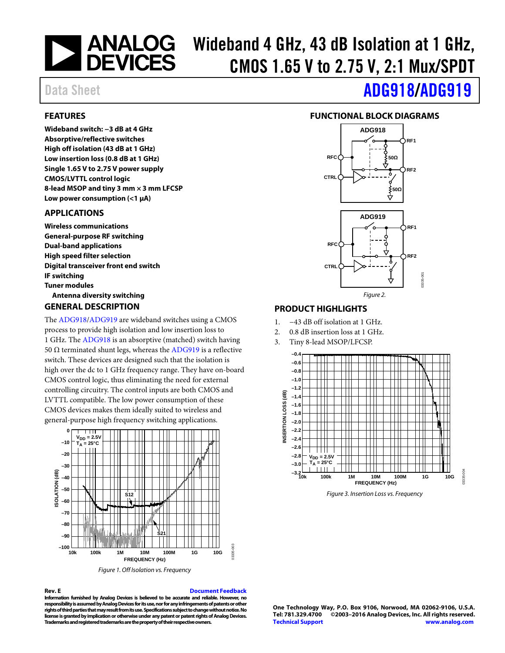# **MALOG** Wideband 4 GHz, 43 dB Isolation at 1 GHz, CMOS 1.65 V to 2.75 V, 2:1 Mux/SPDT

# Data Sheet **[ADG918/](http://www.analog.com/ADG918?doc=ADG918_919.pdf)[ADG919](http://www.analog.com/ADG919?doc=ADG918_919.pdf)**

## <span id="page-0-0"></span>**FEATURES**

**Wideband switch: −3 dB at 4 GHz Absorptive/reflective switches High off isolation (43 dB at 1 GHz) Low insertion loss (0.8 dB at 1 GHz) Single 1.65 V to 2.75 V power supply CMOS/LVTTL control logic 8-lead MSOP and tiny 3 mm × 3 mm LFCSP Low power consumption (<1 µA)**

### <span id="page-0-1"></span>**APPLICATIONS**

**Wireless communications General-purpose RF switching Dual-band applications High speed filter selection Digital transceiver front end switch IF switching Tuner modules Antenna diversity switching**

### <span id="page-0-3"></span>**GENERAL DESCRIPTION**

The [ADG918/](http://www.analog.com/ADG918?doc=ADG918_919.pdf)[ADG919](http://www.analog.com/ADG919?doc=ADG918_919.pdf) are wideband switches using a CMOS process to provide high isolation and low insertion loss to 1 GHz. The [ADG918](http://www.analog.com/ADG918?doc=ADG918_919.pdf) is an absorptive (matched) switch having 50  $Ω$  terminated shunt legs, whereas the [ADG919](http://www.analog.com/ADG919?doc=ADG918_919.pdf) is a reflective switch. These devices are designed such that the isolation is high over the dc to 1 GHz frequency range. They have on-board CMOS control logic, thus eliminating the need for external controlling circuitry. The control inputs are both CMOS and LVTTL compatible. The low power consumption of these CMOS devices makes them ideally suited to wireless and general-purpose high frequency switching applications.



*Figure 1. Off Isolation vs. Frequency*

### **Rev. E [Document Feedback](https://form.analog.com/Form_Pages/feedback/documentfeedback.aspx?doc=AD918_919.pdf&product=AD918%20AD919&rev=E)**

03335-003

**Information furnished by Analog Devices is believed to be accurate and reliable. However, no responsibility is assumed by Analog Devices for its use, nor for any infringements of patents or other rights of third parties that may result from its use. Specifications subject to change without notice. No license is granted by implication or otherwise under any patent orpatent rights of Analog Devices. Trademarks and registered trademarks are the property of their respective owners.**

<span id="page-0-2"></span>

### <span id="page-0-4"></span>**PRODUCT HIGHLIGHTS**

- 1. −43 dB off isolation at 1 GHz.
- 2. 0.8 dB insertion loss at 1 GHz.
- 3. Tiny 8-lead MSOP/LFCSP.



*Figure 3. Insertion Loss vs. Frequency*

03335-004

335-004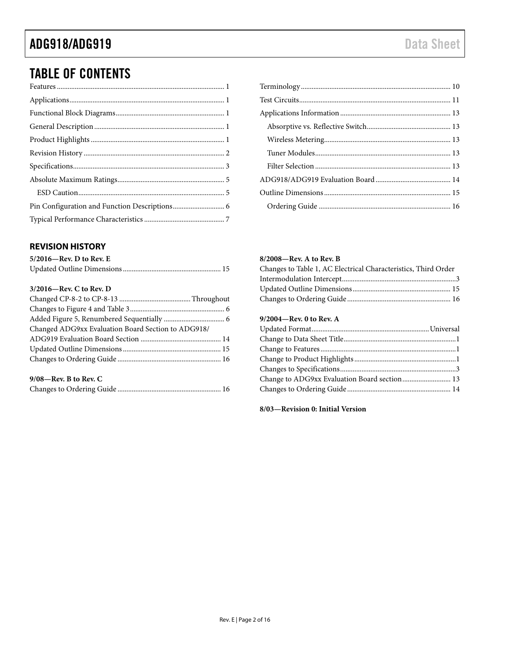# TABLE OF CONTENTS

### <span id="page-1-0"></span>**REVISION HISTORY**

| $5/2016$ —Rev. D to Rev. E |  |
|----------------------------|--|
|                            |  |

### **3/2016—Rev. C to Rev. D**

| Changed ADG9xx Evaluation Board Section to ADG918/ |  |
|----------------------------------------------------|--|
|                                                    |  |
|                                                    |  |
|                                                    |  |
|                                                    |  |

### **9/08—Rev. B to Rev. C**

|--|--|

### **8/2008—Rev. A to Rev. B**

| Changes to Table 1, AC Electrical Characteristics, Third Order |  |
|----------------------------------------------------------------|--|
|                                                                |  |
|                                                                |  |
|                                                                |  |
|                                                                |  |

### **9/2004—Rev. 0 to Rev. A**

**8/03—Revision 0: Initial Version**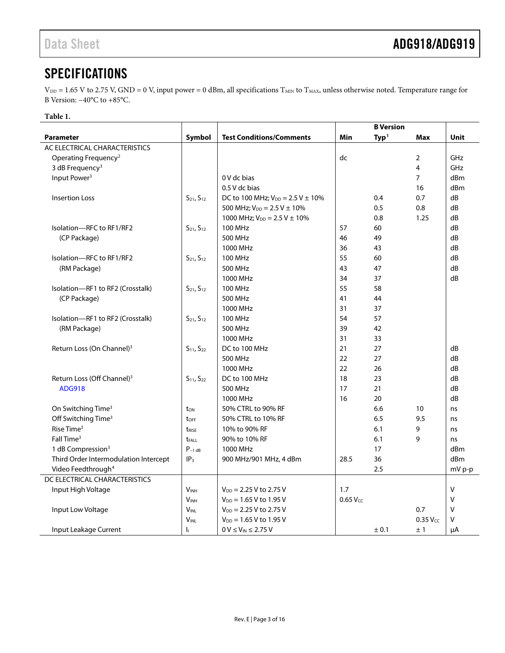# <span id="page-2-0"></span>**SPECIFICATIONS**

 $V_{DD} = 1.65$  V to 2.75 V, GND = 0 V, input power = 0 dBm, all specifications  $T_{MIN}$  to  $T_{MAX}$ , unless otherwise noted. Temperature range for B Version: −40°C to +85°C.

### **Table 1.**

|                                        |                        |                                          |            | <b>B</b> Version |                |             |
|----------------------------------------|------------------------|------------------------------------------|------------|------------------|----------------|-------------|
| <b>Parameter</b>                       | Symbol                 | <b>Test Conditions/Comments</b>          | Min        | Typ <sup>1</sup> | Max            | <b>Unit</b> |
| AC ELECTRICAL CHARACTERISTICS          |                        |                                          |            |                  |                |             |
| Operating Frequency <sup>2</sup>       |                        |                                          | dc         |                  | 2              | GHz         |
| 3 dB Frequency <sup>3</sup>            |                        |                                          |            |                  | $\overline{4}$ | GHz         |
| Input Power <sup>3</sup>               |                        | 0 V dc bias                              |            |                  | $\overline{7}$ | dBm         |
|                                        |                        | 0.5 V dc bias                            |            |                  | 16             | dBm         |
| <b>Insertion Loss</b>                  | $S_{21}$ , $S_{12}$    | DC to 100 MHz; $V_{DD} = 2.5 V \pm 10\%$ |            | 0.4              | 0.7            | dB          |
|                                        |                        | 500 MHz; $V_{DD} = 2.5 V \pm 10\%$       |            | 0.5              | 0.8            | dB          |
|                                        |                        | 1000 MHz; $V_{DD} = 2.5 V \pm 10\%$      |            | 0.8              | 1.25           | dB          |
| Isolation-RFC to RF1/RF2               | $S_{21}$ , $S_{12}$    | <b>100 MHz</b>                           | 57         | 60               |                | dB          |
| (CP Package)                           |                        | 500 MHz                                  | 46         | 49               |                | dB          |
|                                        |                        | 1000 MHz                                 | 36         | 43               |                | dB          |
| Isolation-RFC to RF1/RF2               | $S_{21}$ , $S_{12}$    | <b>100 MHz</b>                           | 55         | 60               |                | dB          |
| (RM Package)                           |                        | 500 MHz                                  | 43         | 47               |                | dB          |
|                                        |                        | 1000 MHz                                 | 34         | 37               |                | dB          |
| Isolation-RF1 to RF2 (Crosstalk)       | $S_{21}$ , $S_{12}$    | 100 MHz                                  | 55         | 58               |                |             |
| (CP Package)                           |                        | 500 MHz                                  | 41         | 44               |                |             |
|                                        |                        | 1000 MHz                                 | 31         | 37               |                |             |
| Isolation-RF1 to RF2 (Crosstalk)       | $S_{21}$ , $S_{12}$    | <b>100 MHz</b>                           | 54         | 57               |                |             |
| (RM Package)                           |                        | 500 MHz                                  | 39         | 42               |                |             |
|                                        |                        | 1000 MHz                                 | 31         | 33               |                |             |
| Return Loss (On Channel) <sup>3</sup>  | $S_{11}$ , $S_{22}$    | DC to 100 MHz                            | 21         | 27               |                | dB          |
|                                        |                        | 500 MHz                                  | 22         | 27               |                | dB          |
|                                        |                        | 1000 MHz                                 | 22         | 26               |                | dB          |
| Return Loss (Off Channel) <sup>3</sup> | $S_{11}$ , $S_{22}$    | DC to 100 MHz                            | 18         | 23               |                | dB          |
| <b>ADG918</b>                          |                        | 500 MHz                                  | 17         | 21               |                | dB          |
|                                        |                        | 1000 MHz                                 | 16         | 20               |                | dB          |
| On Switching Time <sup>3</sup>         | ton                    | 50% CTRL to 90% RF                       |            | 6.6              | 10             | ns          |
| Off Switching Time <sup>3</sup>        | toff                   | 50% CTRL to 10% RF                       |            | 6.5              | 9.5            | ns          |
| Rise Time <sup>3</sup>                 | <b>t</b> RISE          | 10% to 90% RF                            |            | 6.1              | 9              | ns          |
| Fall Time <sup>3</sup>                 | <b>t</b> FALL          | 90% to 10% RF                            |            | 6.1              | 9              | ns          |
| 1 dB Compression <sup>3</sup>          | $P_{-1}$ dB            | 1000 MHz                                 |            | 17               |                | dBm         |
| Third Order Intermodulation Intercept  | IP <sub>3</sub>        | 900 MHz/901 MHz, 4 dBm                   | 28.5       | 36               |                | dBm         |
| Video Feedthrough <sup>4</sup>         |                        |                                          |            | 2.5              |                | mV p-p      |
| DC ELECTRICAL CHARACTERISTICS          |                        |                                          |            |                  |                |             |
| Input High Voltage                     | <b>V<sub>INH</sub></b> | $V_{DD} = 2.25 V$ to 2.75 V              | 1.7        |                  |                | $\vee$      |
|                                        | <b>V<sub>INH</sub></b> | $V_{DD} = 1.65 V$ to 1.95 V              | $0.65$ Vcc |                  |                | $\vee$      |
| Input Low Voltage                      | <b>VINL</b>            | $V_{DD} = 2.25 V$ to 2.75 V              |            |                  | 0.7            | V           |
|                                        | <b>VINL</b>            | $V_{DD} = 1.65 V$ to 1.95 V              |            |                  | $0.35$ $VCC$   | v           |
| Input Leakage Current                  | h.                     | $0 V \leq V_{IN} \leq 2.75 V$            |            | ± 0.1            | ±1             | μA          |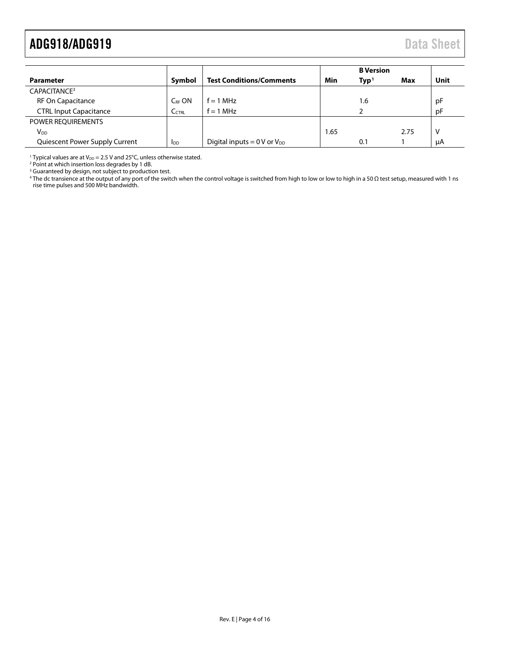# <span id="page-3-0"></span>ADG918/ADG919 Data Sheet

|                                |                        |                                            |      | <b>B</b> Version |      |      |
|--------------------------------|------------------------|--------------------------------------------|------|------------------|------|------|
| Parameter                      | Symbol                 | <b>Test Conditions/Comments</b>            | Min  | $\mathbf{Typ}^1$ | Max  | Unit |
| CAPACITANCE <sup>3</sup>       |                        |                                            |      |                  |      |      |
| <b>RF On Capacitance</b>       | C <sub>RF</sub> ON     | $f = 1$ MHz                                |      | 1.6              |      | рF   |
| <b>CTRL Input Capacitance</b>  | C <sub>CTRL</sub>      | $f = 1$ MHz                                |      |                  |      | рF   |
| <b>POWER REOUIREMENTS</b>      |                        |                                            |      |                  |      |      |
| $V_{DD}$                       |                        |                                            | 1.65 |                  | 2.75 | v    |
| Quiescent Power Supply Current | <b>I</b> <sub>DD</sub> | Digital inputs = $0 \text{ V}$ or $V_{DD}$ |      | 0.1              |      | μA   |

<sup>1</sup> Typical values are at  $V_{DD}$  = 2.5 V and 25°C, unless otherwise stated.

<sup>2</sup> Point at which insertion loss degrades by 1 dB.

<sup>3</sup> Guaranteed by design, not subject to production test.

<sup>4</sup> The dc transience at the output of any port of the switch when the control voltage is switched from high to low or low to high in a 50 Ω test setup, measured with 1 ns rise time pulses and 500 MHz bandwidth.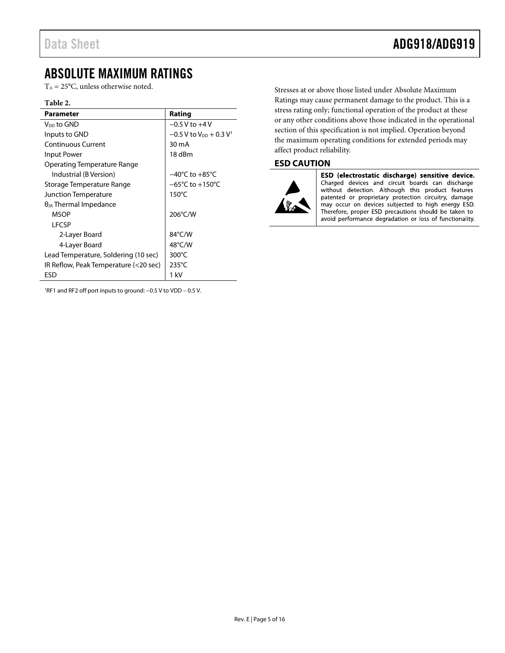## <span id="page-4-0"></span>ABSOLUTE MAXIMUM RATINGS

 $T_A = 25$ °C, unless otherwise noted.

### **Table 2.**

| Parameter                             | Rating                                           |
|---------------------------------------|--------------------------------------------------|
| V <sub>DD</sub> to GND                | $-0.5$ V to $+4$ V                               |
| Inputs to GND                         | $-0.5$ V to V <sub>DD</sub> + 0.3 V <sup>1</sup> |
| Continuous Current                    | $30 \text{ mA}$                                  |
| <b>Input Power</b>                    | 18 dBm                                           |
| <b>Operating Temperature Range</b>    |                                                  |
| Industrial (B Version)                | $-40^{\circ}$ C to $+85^{\circ}$ C               |
| Storage Temperature Range             | $-65^{\circ}$ C to +150 $^{\circ}$ C             |
| Junction Temperature                  | $150^{\circ}$ C                                  |
| $\theta_{JA}$ Thermal Impedance       |                                                  |
| <b>MSOP</b>                           | 206°C/W                                          |
| LFCSP                                 |                                                  |
| 2-Layer Board                         | 84°C/W                                           |
| 4-Layer Board                         | $48^{\circ}$ C/W                                 |
| Lead Temperature, Soldering (10 sec)  | $300^{\circ}$ C                                  |
| IR Reflow, Peak Temperature (<20 sec) | $235^{\circ}$ C                                  |
| ESD                                   | 1 kV                                             |

1 RF1 and RF2 off port inputs to ground: −0.5 V to VDD – 0.5 V.

Stresses at or above those listed under Absolute Maximum Ratings may cause permanent damage to the product. This is a stress rating only; functional operation of the product at these or any other conditions above those indicated in the operational section of this specification is not implied. Operation beyond the maximum operating conditions for extended periods may affect product reliability.

### <span id="page-4-1"></span>**ESD CAUTION**



ESD (electrostatic discharge) sensitive device. Charged devices and circuit boards can discharge without detection. Although this product features patented or proprietary protection circuitry, damage may occur on devices subjected to high energy ESD. Therefore, proper ESD precautions should be taken to avoid performance degradation or loss of functionality.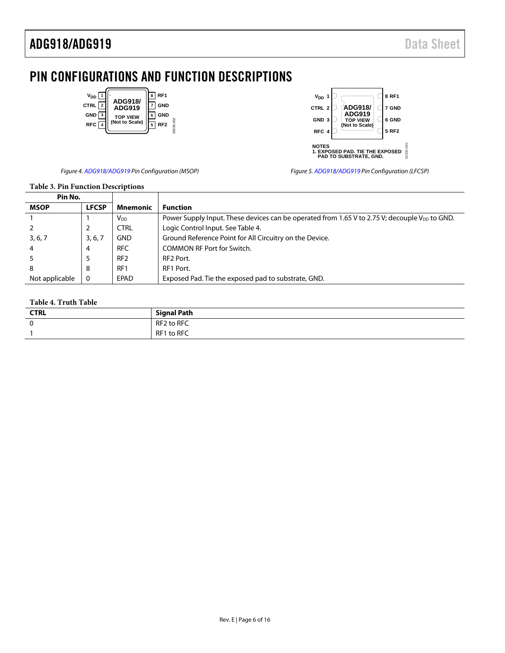# <span id="page-5-0"></span>PIN CONFIGURATIONS AND FUNCTION DESCRIPTIONS



| $VDD$ 1          |                                        | 8 RF1   |
|------------------|----------------------------------------|---------|
| CTRL 2           | <b>ADG918/</b><br><b>ADG919</b>        | 7 GND   |
| GND <sub>3</sub> | <b>TOP VIEW</b><br>(Not to Scale)      | 6 GND   |
| RFC 4            |                                        | 5 RF2   |
|                  |                                        |         |
| <b>NOTES</b>     |                                        |         |
|                  | <b>1. EXPOSED PAD. TIE THE EXPOSED</b> | 1335-03 |
|                  | PAD TO SUBSTRATE, GND.                 |         |

Figure 4[. ADG918](http://www.analog.com/ADG918?doc=ADG918_919.pdf)[/ADG919 P](http://www.analog.com/ADG919?doc=ADG918_919.pdf)in Configuration (MSOP)

Figure 5[. ADG918](http://www.analog.com/ADG918?doc=ADG918_919.pdf)[/ADG919 P](http://www.analog.com/ADG919?doc=ADG918_919.pdf)in Configuration (LFCSP)

### **Table 3. Pin Function Descriptions**

| Pin No.        |              |                 |                                                                                                           |
|----------------|--------------|-----------------|-----------------------------------------------------------------------------------------------------------|
| <b>MSOP</b>    | <b>LFCSP</b> | <b>Mnemonic</b> | <b>Function</b>                                                                                           |
|                |              | V <sub>DD</sub> | Power Supply Input. These devices can be operated from 1.65 V to 2.75 V; decouple V <sub>DD</sub> to GND. |
|                |              | <b>CTRL</b>     | Logic Control Input. See Table 4.                                                                         |
| 3, 6, 7        | 3, 6, 7      | <b>GND</b>      | Ground Reference Point for All Circuitry on the Device.                                                   |
|                | 4            | <b>RFC</b>      | <b>COMMON RF Port for Switch.</b>                                                                         |
|                |              | RF <sub>2</sub> | RF <sub>2</sub> Port.                                                                                     |
| 8              | 8            | RF <sub>1</sub> | RF1 Port.                                                                                                 |
| Not applicable | $\Omega$     | EPAD            | Exposed Pad. Tie the exposed pad to substrate, GND.                                                       |

### <span id="page-5-1"></span>**Table 4. Truth Table**

| <b>CTRL</b> | <b>Signal Path</b> |
|-------------|--------------------|
| 0           | RF2 to RFC         |
|             | RF1 to RFC         |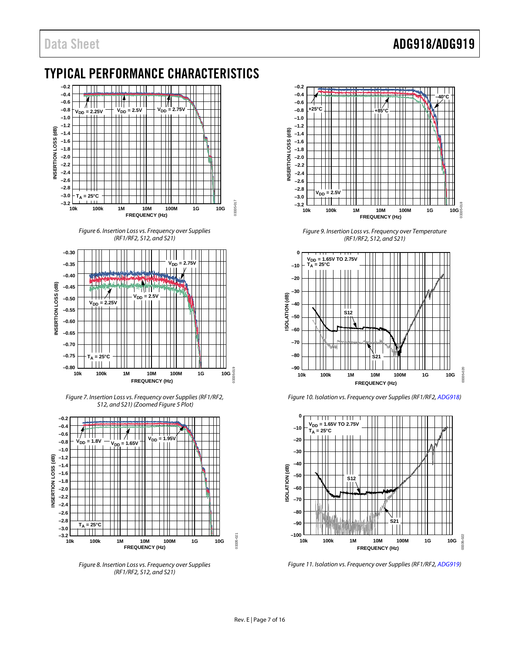## Data Sheet **ADG918/ADG919**

# <span id="page-6-0"></span>TYPICAL PERFORMANCE CHARACTERISTICS



Figure 6. Insertion Loss vs. Frequency over Supplies (RF1/RF2, S12, and S21)



Figure 7. Insertion Loss vs. Frequency over Supplies (RF1/RF2, S12, and S21) (Zoomed Figure 5 Plot)



Figure 8. Insertion Loss vs. Frequency over Supplies (RF1/RF2, S12, and S21)



Figure 9. Insertion Loss vs. Frequency over Temperature (RF1/RF2, S12, and S21)



Figure 10. Isolation vs. Frequency over Supplies (RF1/RF2[, ADG918\)](http://www.analog.com/ADG918?doc=ADG918_919.pdf) 



Figure 11. Isolation vs. Frequency over Supplies (RF1/RF2[, ADG919\)](http://www.analog.com/ADG919?doc=ADG918_919.pdf)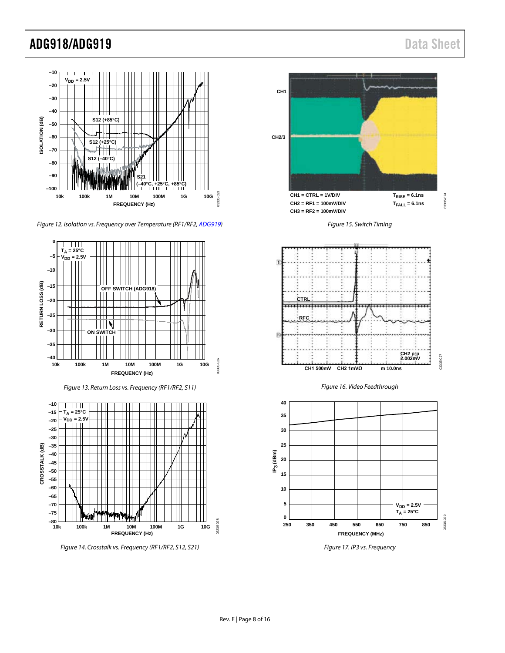# ADG918/ADG919 Data Sheet



*Figure 12. Isolation vs. Frequency over Temperature (RF1/RF2[, ADG919\)](http://www.analog.com/ADG919?doc=ADG918_919.pdf)*



*Figure 14. Crosstalk vs. Frequency (RF1/RF2, S12, S21)*



*Figure 17. IP3 vs. Frequency*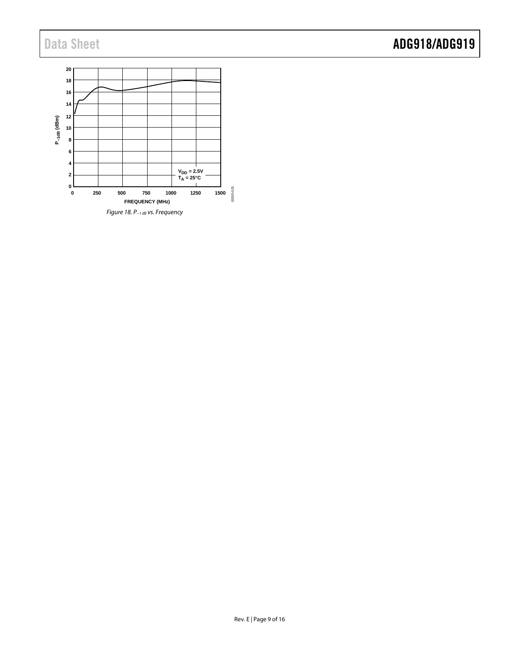# Data Sheet **ADG918/ADG919**

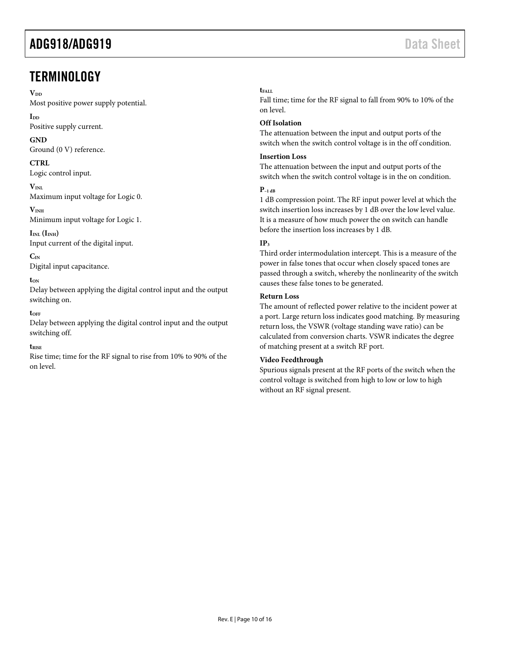# <span id="page-9-0"></span>**TERMINOLOGY**

### $V_{DD}$

Most positive power supply potential.

**IDD**

Positive supply current.

### **GND**

Ground (0 V) reference.

### **CTRL**

Logic control input.

 $V_{\text{INI}}$ Maximum input voltage for Logic 0.

 $V<sub>INH</sub>$ Minimum input voltage for Logic 1.

 $I_{INL}$   $(I_{INH})$ Input current of the digital input.

**CIN** Digital input capacitance.

**tON**

Delay between applying the digital control input and the output switching on.

### **tOFF**

Delay between applying the digital control input and the output switching off.

### **tRISE**

Rise time; time for the RF signal to rise from 10% to 90% of the on level.

### t<sub>EALL</sub>

Fall time; time for the RF signal to fall from 90% to 10% of the on level.

### **Off Isolation**

The attenuation between the input and output ports of the switch when the switch control voltage is in the off condition.

### **Insertion Loss**

The attenuation between the input and output ports of the switch when the switch control voltage is in the on condition.

### **P–1 dB**

1 dB compression point. The RF input power level at which the switch insertion loss increases by 1 dB over the low level value. It is a measure of how much power the on switch can handle before the insertion loss increases by 1 dB.

### **IP3**

Third order intermodulation intercept. This is a measure of the power in false tones that occur when closely spaced tones are passed through a switch, whereby the nonlinearity of the switch causes these false tones to be generated.

### **Return Loss**

The amount of reflected power relative to the incident power at a port. Large return loss indicates good matching. By measuring return loss, the VSWR (voltage standing wave ratio) can be calculated from conversion charts. VSWR indicates the degree of matching present at a switch RF port.

### **Video Feedthrough**

Spurious signals present at the RF ports of the switch when the control voltage is switched from high to low or low to high without an RF signal present.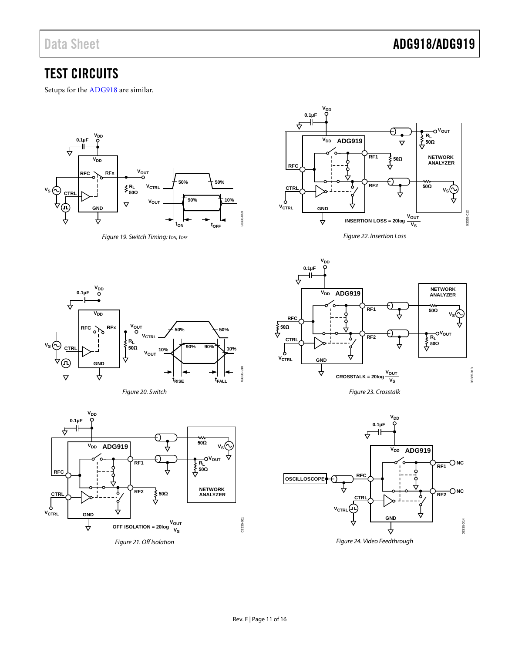## <span id="page-10-0"></span>TEST CIRCUITS

Setups for th[e ADG918](http://www.analog.com/ADG918?doc=ADG918_919.pdf) are similar.



**Figure 19. Switch Timing: ton, toFF** 



*Figure 22. Insertion Loss*



*Figure 20. Switch*





*Figure 23. Crosstalk*



*Figure 24. Video Feedthrough*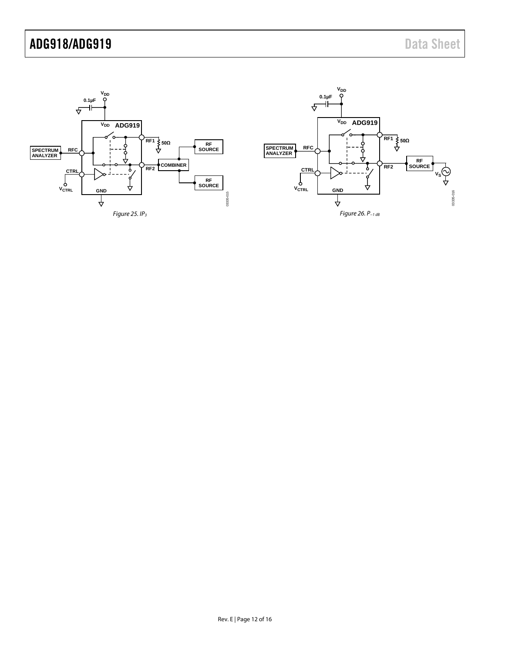# ADG918/ADG919 Data Sheet

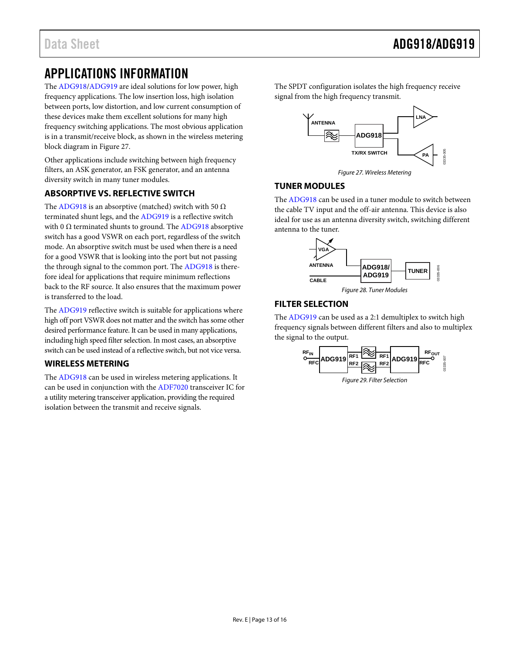# <span id="page-12-0"></span>APPLICATIONS INFORMATION

The [ADG918/](http://www.analog.com/ADG918?doc=ADG918_919.pdf)[ADG919 a](http://www.analog.com/ADG919?doc=ADG918_919.pdf)re ideal solutions for low power, high frequency applications. The low insertion loss, high isolation between ports, low distortion, and low current consumption of these devices make them excellent solutions for many high frequency switching applications. The most obvious application is in a transmit/receive block, as shown in the wireless metering block diagram i[n Figure 27.](#page-12-5)

Other applications include switching between high frequency filters, an ASK generator, an FSK generator, and an antenna diversity switch in many tuner modules.

### <span id="page-12-1"></span>**ABSORPTIVE VS. REFLECTIVE SWITCH**

The [ADG918 i](http://www.analog.com/ADG918?doc=ADG918_919.pdf)s an absorptive (matched) switch with 50  $\Omega$ terminated shunt legs, and the [ADG919](http://www.analog.com/ADG919?doc=ADG918_919.pdf) is a reflective switch with 0  $\Omega$  terminated shunts to ground. The [ADG918 a](http://www.analog.com/ADG918?doc=ADG918_919.pdf)bsorptive switch has a good VSWR on each port, regardless of the switch mode. An absorptive switch must be used when there is a need for a good VSWR that is looking into the port but not passing the through signal to the common port. Th[e ADG918 i](http://www.analog.com/ADG918?doc=ADG918_919.pdf)s therefore ideal for applications that require minimum reflections back to the RF source. It also ensures that the maximum power is transferred to the load.

The [ADG919 r](http://www.analog.com/ADG919?doc=ADG918_919.pdf)eflective switch is suitable for applications where high off port VSWR does not matter and the switch has some other desired performance feature. It can be used in many applications, including high speed filter selection. In most cases, an absorptive switch can be used instead of a reflective switch, but not vice versa.

### <span id="page-12-2"></span>**WIRELESS METERING**

The [ADG918 c](http://www.analog.com/ADG918?doc=ADG918_919.pdf)an be used in wireless metering applications. It can be used in conjunction with th[e ADF7020 t](http://www.analog.com/ADF7020?doc=ADG918_919.pdf)ransceiver IC for a utility metering transceiver application, providing the required isolation between the transmit and receive signals.

The SPDT configuration isolates the high frequency receive signal from the high frequency transmit.



Figure 27. Wireless Metering

### <span id="page-12-5"></span><span id="page-12-3"></span>**TUNER MODULES**

The [ADG918 c](http://www.analog.com/ADG918?doc=ADG918_919.pdf)an be used in a tuner module to switch between the cable TV input and the off-air antenna. This device is also ideal for use as an antenna diversity switch, switching different antenna to the tuner.



### <span id="page-12-4"></span>**FILTER SELECTION**

The [ADG919 c](http://www.analog.com/ADG919?doc=ADG918_919.pdf)an be used as a 2:1 demultiplex to switch high frequency signals between different filters and also to multiplex the signal to the output.

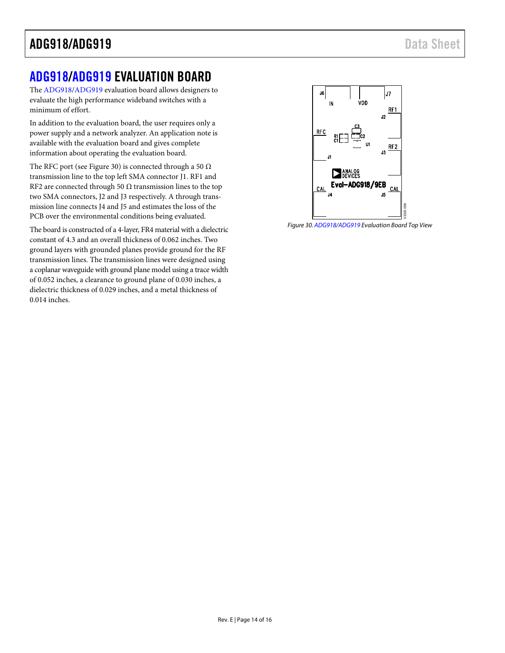# <span id="page-13-0"></span>[ADG918](http://www.analog.com/ADG918?doc=ADG918_919.pdf)[/ADG919](http://www.analog.com/ADG919?doc=ADG918_919.pdf) EVALUATION BOARD

The [ADG918/](http://www.analog.com/ADG918?doc=ADG918_919.pdf)[ADG919 e](http://www.analog.com/ADG919?doc=ADG918_919.pdf)valuation board allows designers to evaluate the high performance wideband switches with a minimum of effort.

In addition to the evaluation board, the user requires only a power supply and a network analyzer. An application note is available with the evaluation board and gives complete information about operating the evaluation board.

The RFC port (see [Figure 30\)](#page-13-1) is connected through a 50  $\Omega$ transmission line to the top left SMA connector J1. RF1 and RF2 are connected through 50  $\Omega$  transmission lines to the top two SMA connectors, J2 and J3 respectively. A through transmission line connects J4 and J5 and estimates the loss of the PCB over the environmental conditions being evaluated.

The board is constructed of a 4-layer, FR4 material with a dielectric constant of 4.3 and an overall thickness of 0.062 inches. Two ground layers with grounded planes provide ground for the RF transmission lines. The transmission lines were designed using a coplanar waveguide with ground plane model using a trace width of 0.052 inches, a clearance to ground plane of 0.030 inches, a dielectric thickness of 0.029 inches, and a metal thickness of 0.014 inches.



<span id="page-13-1"></span>Figure 30[. ADG918](http://www.analog.com/ADG918?doc=ADG918_919.pdf)[/ADG919 E](http://www.analog.com/ADG919?doc=ADG918_919.pdf)valuation Board Top View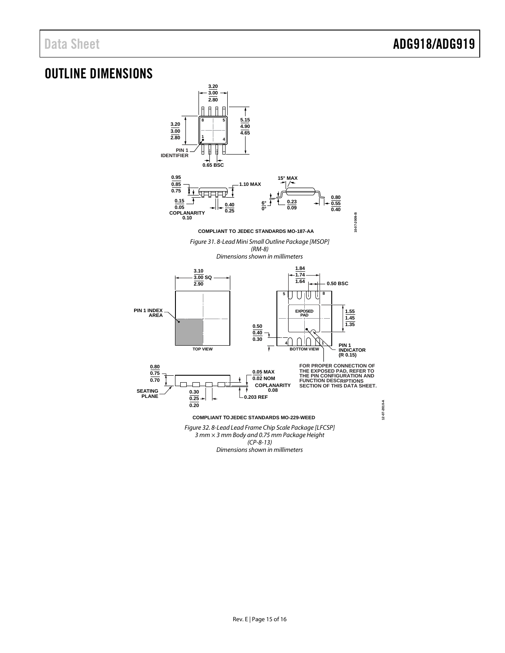# <span id="page-14-0"></span>OUTLINE DIMENSIONS



*3 mm × 3 mm Body and 0.75 mm Package Height (CP-8-13)*

*Dimensions shown in millimeters*